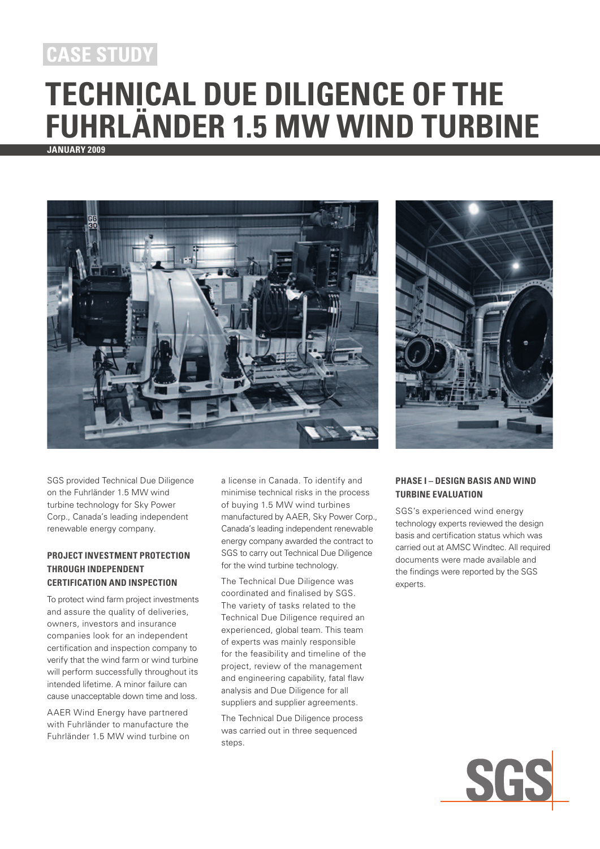## **case study**

# **Technical Due Diligence of the Fuhrländer 1.5 MW Wind Turbine**

**January 2009**



SGS provided Technical Due Diligence on the Fuhrländer 1.5 MW wind turbine technology for Sky Power Corp., Canada's leading independent renewable energy company.

#### **Project investment protection through independent certification and inspection**

To protect wind farm project investments and assure the quality of deliveries, owners, investors and insurance companies look for an independent certification and inspection company to verify that the wind farm or wind turbine will perform successfully throughout its intended lifetime. A minor failure can cause unacceptable down time and loss.

AAER Wind Energy have partnered with Fuhrländer to manufacture the Fuhrländer 1.5 MW wind turbine on a license in Canada. To identify and minimise technical risks in the process of buying 1.5 MW wind turbines manufactured by AAER, Sky Power Corp., Canada's leading independent renewable energy company awarded the contract to SGS to carry out Technical Due Diligence for the wind turbine technology.

The Technical Due Diligence was coordinated and finalised by SGS. The variety of tasks related to the Technical Due Diligence required an experienced, global team. This team of experts was mainly responsible for the feasibility and timeline of the project, review of the management and engineering capability, fatal flaw analysis and Due Diligence for all suppliers and supplier agreements.

The Technical Due Diligence process was carried out in three sequenced steps.



#### **Phase I – Design Basis and Wind Turbine Evaluation**

SGS's experienced wind energy technology experts reviewed the design basis and certification status which was carried out at AMSC Windtec. All required documents were made available and the findings were reported by the SGS experts.